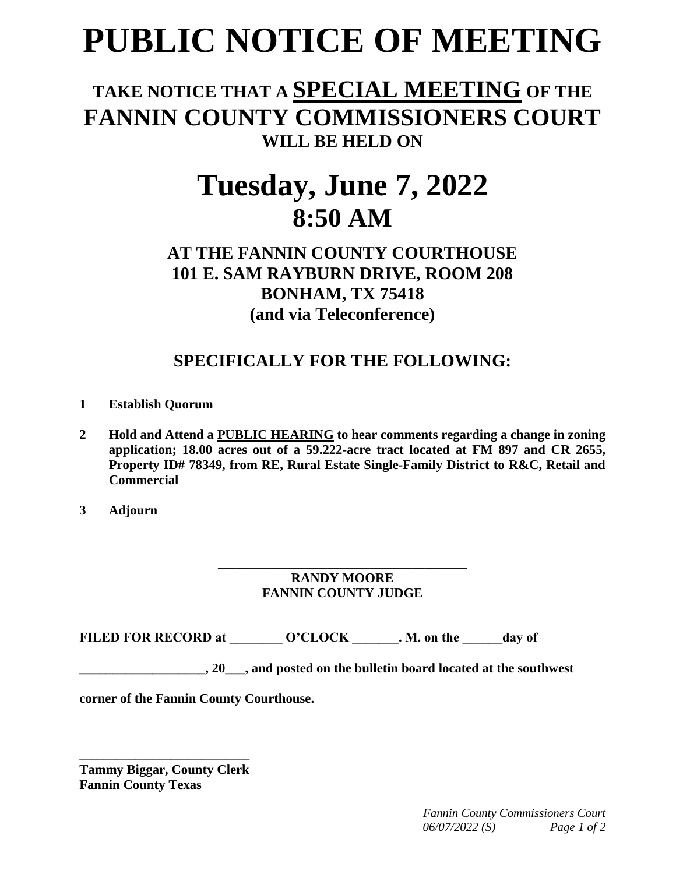# **PUBLIC NOTICE OF MEETING**

### **TAKE NOTICE THAT A SPECIAL MEETING OF THE FANNIN COUNTY COMMISSIONERS COURT WILL BE HELD ON**

## **Tuesday, June 7, 2022 8:50 AM**

#### **AT THE FANNIN COUNTY COURTHOUSE 101 E. SAM RAYBURN DRIVE, ROOM 208 BONHAM, TX 75418 (and via Teleconference)**

#### **SPECIFICALLY FOR THE FOLLOWING:**

- **1 Establish Quorum**
- **2 Hold and Attend a PUBLIC HEARING to hear comments regarding a change in zoning application; 18.00 acres out of a 59.222-acre tract located at FM 897 and CR 2655, Property ID# 78349, from RE, Rural Estate Single-Family District to R&C, Retail and Commercial**
- **3 Adjourn**

#### **\_\_\_\_\_\_\_\_\_\_\_\_\_\_\_\_\_\_\_\_\_\_\_\_\_\_\_\_\_\_\_\_\_\_\_\_\_\_\_\_\_ RANDY MOORE FANNIN COUNTY JUDGE**

FILED FOR RECORD at  $O'CLOCK$  . M. on the day of

**\_\_\_\_\_\_\_\_\_\_\_\_\_\_\_\_\_\_\_, 20\_\_\_, and posted on the bulletin board located at the southwest** 

**corner of the Fannin County Courthouse.**

**\_\_\_\_\_\_\_\_\_\_\_\_\_\_\_\_\_\_\_\_\_\_\_\_\_\_\_\_ Tammy Biggar, County Clerk Fannin County Texas**